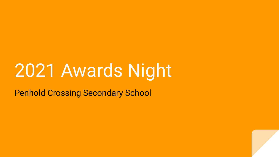# 2021 Awards Night

Penhold Crossing Secondary School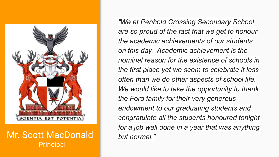

Mr. Scott MacDonald **Principal** 

*"We at Penhold Crossing Secondary School are so proud of the fact that we get to honour the academic achievements of our students on this day. Academic achievement is the nominal reason for the existence of schools in the first place yet we seem to celebrate it less often than we do other aspects of school life. We would like to take the opportunity to thank the Ford family for their very generous endowment to our graduating students and congratulate all the students honoured tonight for a job well done in a year that was anything but normal."*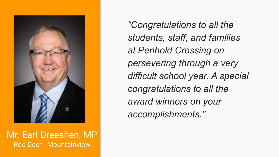

Mr. Earl Dreeshen, MP Red Deer - Mountainview

*"Congratulations to all the students, staff, and families at Penhold Crossing on persevering through a very difficult school year. A special congratulations to all the award winners on your accomplishments."*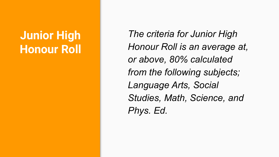# **Junior High Honour Roll**

*The criteria for Junior High Honour Roll is an average at, or above, 80% calculated from the following subjects; Language Arts, Social Studies, Math, Science, and Phys. Ed.*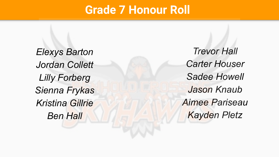#### **Grade 7 Honour Roll**

*Elexys Barton Jordan Collett Lilly Forberg Sienna Frykas Kristina Gillrie Ben Hall*

*Trevor Hall Carter Houser Sadee Howell Jason Knaub Aimee Pariseau Kayden Pletz*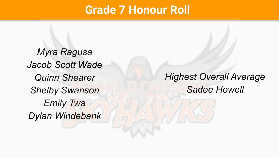#### **Grade 7 Honour Roll**

*Myra Ragusa Jacob Scott Wade Quinn Shearer Shelby Swanson Emily Twa Dylan Windebank*

#### *Highest Overall Average Sadee Howell*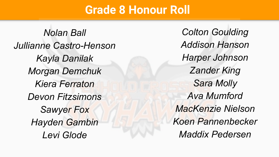#### **Grade 8 Honour Roll**

*Nolan Ball Jullianne Castro-Henson Kayla Danilak Morgan Demchuk Kiera Ferraton Devon Fitzsimons Sawyer Fox Hayden Gambin Levi Glode*

*Colton Goulding Addison Hanson Harper Johnson Zander King Sara Molly Ava Mumford MacKenzie Nielson Koen Pannenbecker Maddix Pedersen*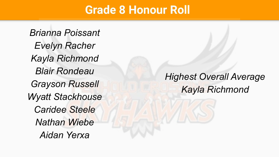#### **Grade 8 Honour Roll**

*Brianna Poissant Evelyn Racher Kayla Richmond Blair Rondeau Grayson Russell Wyatt Stackhouse Caridee Steele Nathan Wiebe Aidan Yerxa*

#### *Highest Overall Average Kayla Richmond*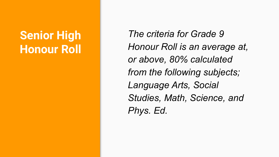# **Senior High Honour Roll**

*The criteria for Grade 9 Honour Roll is an average at, or above, 80% calculated from the following subjects; Language Arts, Social Studies, Math, Science, and Phys. Ed.*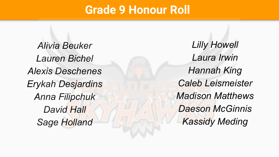#### **Grade 9 Honour Roll**

*Alivia Beuker Lauren Bichel Alexis Deschenes Erykah Desjardins Anna Filipchuk David Hall Sage Holland*

*Lilly Howell Laura Irwin Hannah King Caleb Leismeister Madison Matthews Daeson McGinnis Kassidy Meding*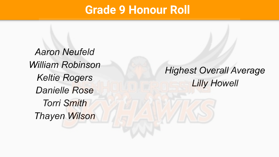#### **Grade 9 Honour Roll**

*Aaron Neufeld William Robinson Keltie Rogers Danielle Rose Torri Smith Thayen Wilson*

*Highest Overall Average Lilly Howell*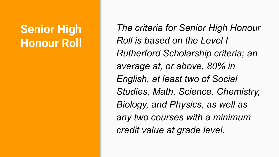# **Senior High Honour Roll**

*The criteria for Senior High Honour Roll is based on the Level I Rutherford Scholarship criteria; an average at, or above, 80% in English, at least two of Social Studies, Math, Science, Chemistry, Biology, and Physics, as well as any two courses with a minimum credit value at grade level.*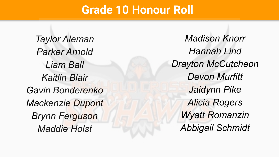#### **Grade 10 Honour Roll**

*Taylor Aleman Parker Arnold Liam Ball Kaitlin Blair Gavin Bonderenko Mackenzie Dupont Brynn Ferguson Maddie Holst*

*Madison Knorr Hannah Lind Drayton McCutcheon Devon Murfitt Jaidynn Pike Alicia Rogers Wyatt Romanzin Abbigail Schmidt*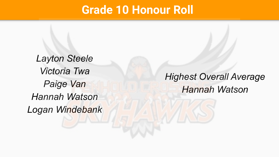#### **Grade 10 Honour Roll**

*Layton Steele Victoria Twa Paige Van Hannah Watson Logan Windebank*

#### *Highest Overall Average Hannah Watson*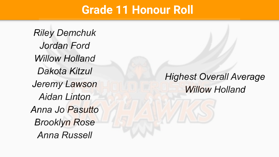#### **Grade 11 Honour Roll**

*Riley Demchuk Jordan Ford Willow Holland Dakota Kitzul Jeremy Lawson Aidan Linton Anna Jo Pasutto Brooklyn Rose Anna Russell*

#### *Highest Overall Average Willow Holland*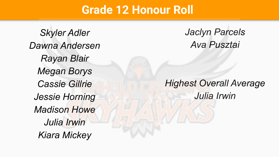#### **Grade 12 Honour Roll**

*Skyler Adler Dawna Andersen Rayan Blair Megan Borys Cassie Gillrie Jessie Horning Madison Howe Julia Irwin Kiara Mickey*

*Jaclyn Parcels Ava Pusztai*

#### *Highest Overall Average Julia Irwin*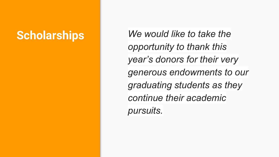**Scholarships** *We would like to take the opportunity to thank this year's donors for their very generous endowments to our graduating students as they continue their academic pursuits.*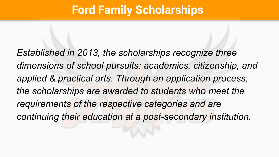# **Ford Family Scholarships**

*Established in 2013, the scholarships recognize three dimensions of school pursuits: academics, citizenship, and applied & practical arts. Through an application process, the scholarships are awarded to students who meet the requirements of the respective categories and are continuing their education at a post-secondary institution.*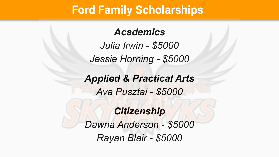### **Ford Family Scholarships**

#### *Academics*

*Julia Irwin - \$5000 Jessie Horning - \$5000*

*Applied & Practical Arts Ava Pusztai - \$5000*

#### *Citizenship*

*Dawna Anderson - \$5000 Rayan Blair - \$5000*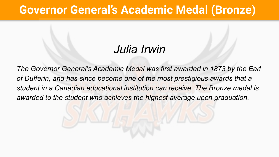# **Governor General's Academic Medal (Bronze)**

# *Julia Irwin*

*The Governor General's Academic Medal was first awarded in 1873 by the Earl of Dufferin, and has since become one of the most prestigious awards that a student in a Canadian educational institution can receive. The Bronze medal is awarded to the student who achieves the highest average upon graduation.*